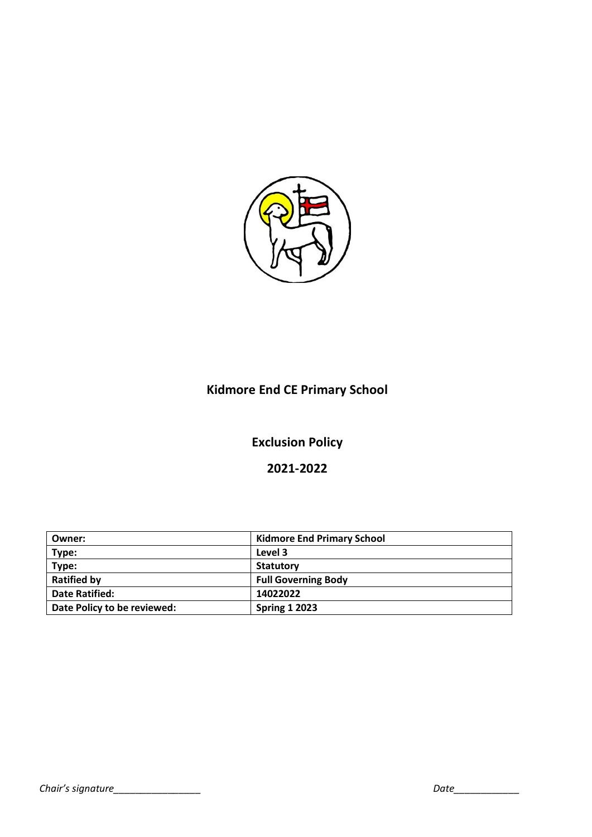

# **Kidmore End CE Primary School**

# **Exclusion Policy**

# **2021-2022**

| Owner:                      | <b>Kidmore End Primary School</b> |
|-----------------------------|-----------------------------------|
| Type:                       | Level 3                           |
| Type:                       | <b>Statutory</b>                  |
| <b>Ratified by</b>          | <b>Full Governing Body</b>        |
| <b>Date Ratified:</b>       | 14022022                          |
| Date Policy to be reviewed: | <b>Spring 1 2023</b>              |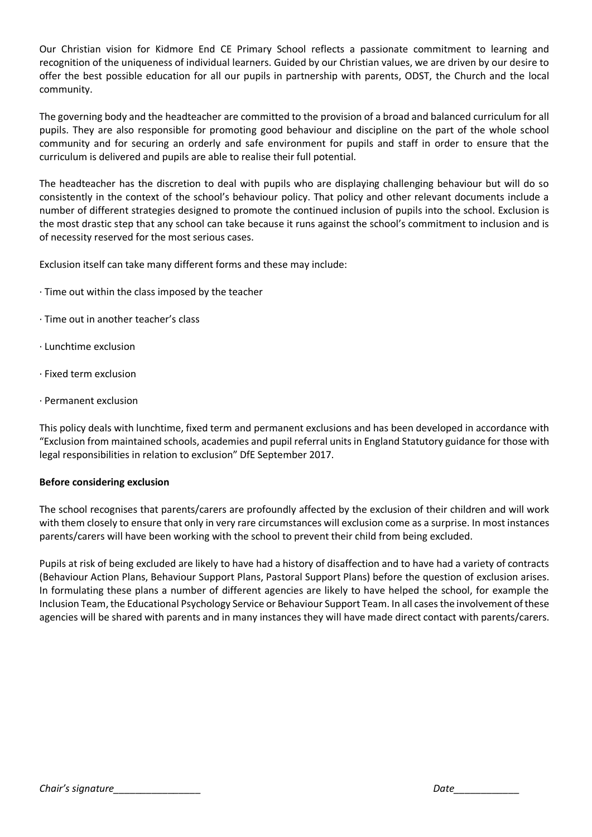Our Christian vision for Kidmore End CE Primary School reflects a passionate commitment to learning and recognition of the uniqueness of individual learners. Guided by our Christian values, we are driven by our desire to offer the best possible education for all our pupils in partnership with parents, ODST, the Church and the local community.

The governing body and the headteacher are committed to the provision of a broad and balanced curriculum for all pupils. They are also responsible for promoting good behaviour and discipline on the part of the whole school community and for securing an orderly and safe environment for pupils and staff in order to ensure that the curriculum is delivered and pupils are able to realise their full potential.

The headteacher has the discretion to deal with pupils who are displaying challenging behaviour but will do so consistently in the context of the school's behaviour policy. That policy and other relevant documents include a number of different strategies designed to promote the continued inclusion of pupils into the school. Exclusion is the most drastic step that any school can take because it runs against the school's commitment to inclusion and is of necessity reserved for the most serious cases.

Exclusion itself can take many different forms and these may include:

- · Time out within the class imposed by the teacher
- · Time out in another teacher's class
- · Lunchtime exclusion
- · Fixed term exclusion
- · Permanent exclusion

This policy deals with lunchtime, fixed term and permanent exclusions and has been developed in accordance with "Exclusion from maintained schools, academies and pupil referral units in England Statutory guidance for those with legal responsibilities in relation to exclusion" DfE September 2017.

# **Before considering exclusion**

The school recognises that parents/carers are profoundly affected by the exclusion of their children and will work with them closely to ensure that only in very rare circumstances will exclusion come as a surprise. In most instances parents/carers will have been working with the school to prevent their child from being excluded.

Pupils at risk of being excluded are likely to have had a history of disaffection and to have had a variety of contracts (Behaviour Action Plans, Behaviour Support Plans, Pastoral Support Plans) before the question of exclusion arises. In formulating these plans a number of different agencies are likely to have helped the school, for example the Inclusion Team, the Educational Psychology Service or Behaviour Support Team. In all cases the involvement of these agencies will be shared with parents and in many instances they will have made direct contact with parents/carers.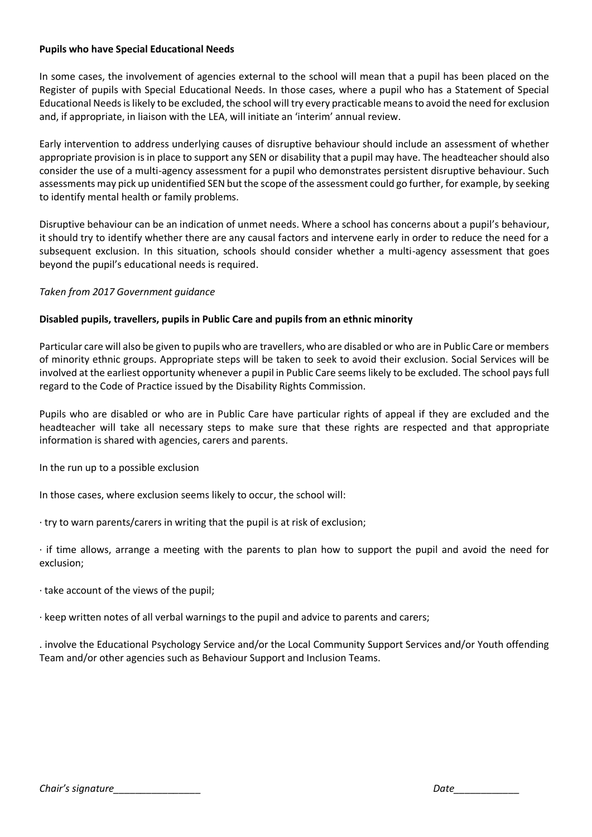# **Pupils who have Special Educational Needs**

In some cases, the involvement of agencies external to the school will mean that a pupil has been placed on the Register of pupils with Special Educational Needs. In those cases, where a pupil who has a Statement of Special Educational Needs is likely to be excluded, the school will try every practicable means to avoid the need for exclusion and, if appropriate, in liaison with the LEA, will initiate an 'interim' annual review.

Early intervention to address underlying causes of disruptive behaviour should include an assessment of whether appropriate provision is in place to support any SEN or disability that a pupil may have. The headteacher should also consider the use of a multi-agency assessment for a pupil who demonstrates persistent disruptive behaviour. Such assessments may pick up unidentified SEN but the scope of the assessment could go further, for example, by seeking to identify mental health or family problems.

Disruptive behaviour can be an indication of unmet needs. Where a school has concerns about a pupil's behaviour, it should try to identify whether there are any causal factors and intervene early in order to reduce the need for a subsequent exclusion. In this situation, schools should consider whether a multi-agency assessment that goes beyond the pupil's educational needs is required.

# *Taken from 2017 Government guidance*

# **Disabled pupils, travellers, pupils in Public Care and pupils from an ethnic minority**

Particular care will also be given to pupils who are travellers, who are disabled or who are in Public Care or members of minority ethnic groups. Appropriate steps will be taken to seek to avoid their exclusion. Social Services will be involved at the earliest opportunity whenever a pupil in Public Care seems likely to be excluded. The school pays full regard to the Code of Practice issued by the Disability Rights Commission.

Pupils who are disabled or who are in Public Care have particular rights of appeal if they are excluded and the headteacher will take all necessary steps to make sure that these rights are respected and that appropriate information is shared with agencies, carers and parents.

In the run up to a possible exclusion

In those cases, where exclusion seems likely to occur, the school will:

· try to warn parents/carers in writing that the pupil is at risk of exclusion;

· if time allows, arrange a meeting with the parents to plan how to support the pupil and avoid the need for exclusion;

· take account of the views of the pupil;

· keep written notes of all verbal warnings to the pupil and advice to parents and carers;

. involve the Educational Psychology Service and/or the Local Community Support Services and/or Youth offending Team and/or other agencies such as Behaviour Support and Inclusion Teams.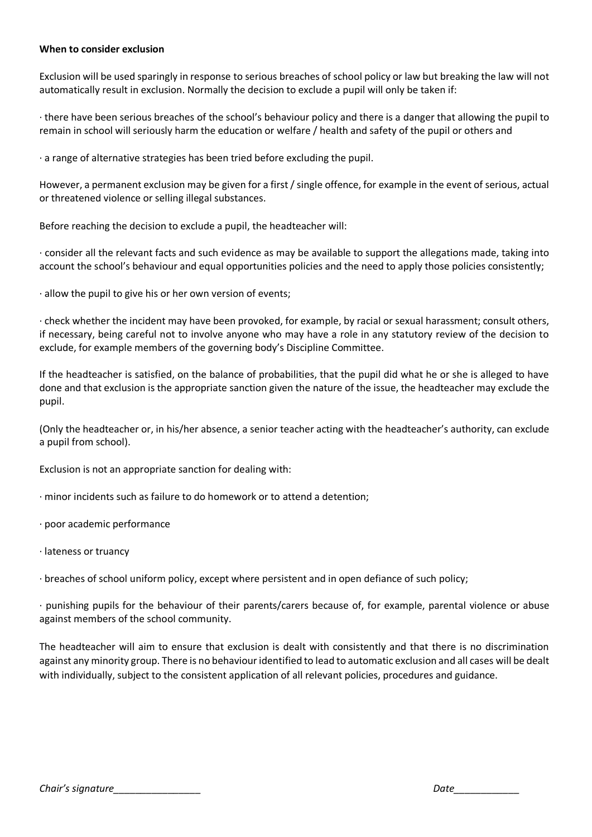#### **When to consider exclusion**

Exclusion will be used sparingly in response to serious breaches of school policy or law but breaking the law will not automatically result in exclusion. Normally the decision to exclude a pupil will only be taken if:

· there have been serious breaches of the school's behaviour policy and there is a danger that allowing the pupil to remain in school will seriously harm the education or welfare / health and safety of the pupil or others and

· a range of alternative strategies has been tried before excluding the pupil.

However, a permanent exclusion may be given for a first / single offence, for example in the event of serious, actual or threatened violence or selling illegal substances.

Before reaching the decision to exclude a pupil, the headteacher will:

· consider all the relevant facts and such evidence as may be available to support the allegations made, taking into account the school's behaviour and equal opportunities policies and the need to apply those policies consistently;

· allow the pupil to give his or her own version of events;

· check whether the incident may have been provoked, for example, by racial or sexual harassment; consult others, if necessary, being careful not to involve anyone who may have a role in any statutory review of the decision to exclude, for example members of the governing body's Discipline Committee.

If the headteacher is satisfied, on the balance of probabilities, that the pupil did what he or she is alleged to have done and that exclusion is the appropriate sanction given the nature of the issue, the headteacher may exclude the pupil.

(Only the headteacher or, in his/her absence, a senior teacher acting with the headteacher's authority, can exclude a pupil from school).

Exclusion is not an appropriate sanction for dealing with:

· minor incidents such as failure to do homework or to attend a detention;

- · poor academic performance
- · lateness or truancy

· breaches of school uniform policy, except where persistent and in open defiance of such policy;

· punishing pupils for the behaviour of their parents/carers because of, for example, parental violence or abuse against members of the school community.

The headteacher will aim to ensure that exclusion is dealt with consistently and that there is no discrimination against any minority group. There is no behaviour identified to lead to automatic exclusion and all cases will be dealt with individually, subject to the consistent application of all relevant policies, procedures and guidance.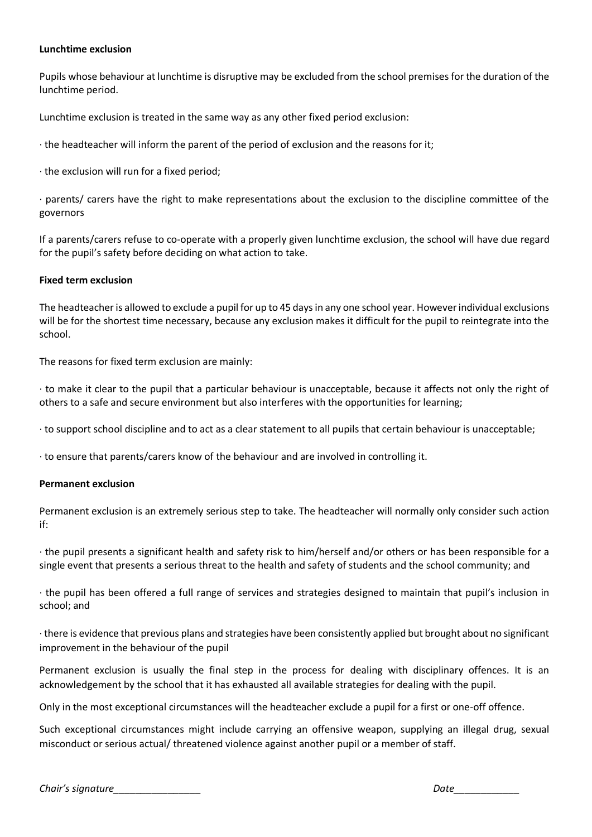#### **Lunchtime exclusion**

Pupils whose behaviour at lunchtime is disruptive may be excluded from the school premises for the duration of the lunchtime period.

Lunchtime exclusion is treated in the same way as any other fixed period exclusion:

· the headteacher will inform the parent of the period of exclusion and the reasons for it;

· the exclusion will run for a fixed period;

· parents/ carers have the right to make representations about the exclusion to the discipline committee of the governors

If a parents/carers refuse to co-operate with a properly given lunchtime exclusion, the school will have due regard for the pupil's safety before deciding on what action to take.

#### **Fixed term exclusion**

The headteacher is allowed to exclude a pupil for up to 45 days in any one school year. However individual exclusions will be for the shortest time necessary, because any exclusion makes it difficult for the pupil to reintegrate into the school.

The reasons for fixed term exclusion are mainly:

· to make it clear to the pupil that a particular behaviour is unacceptable, because it affects not only the right of others to a safe and secure environment but also interferes with the opportunities for learning;

· to support school discipline and to act as a clear statement to all pupils that certain behaviour is unacceptable;

· to ensure that parents/carers know of the behaviour and are involved in controlling it.

#### **Permanent exclusion**

Permanent exclusion is an extremely serious step to take. The headteacher will normally only consider such action if:

· the pupil presents a significant health and safety risk to him/herself and/or others or has been responsible for a single event that presents a serious threat to the health and safety of students and the school community; and

· the pupil has been offered a full range of services and strategies designed to maintain that pupil's inclusion in school; and

· there is evidence that previous plans and strategies have been consistently applied but brought about no significant improvement in the behaviour of the pupil

Permanent exclusion is usually the final step in the process for dealing with disciplinary offences. It is an acknowledgement by the school that it has exhausted all available strategies for dealing with the pupil.

Only in the most exceptional circumstances will the headteacher exclude a pupil for a first or one-off offence.

Such exceptional circumstances might include carrying an offensive weapon, supplying an illegal drug, sexual misconduct or serious actual/ threatened violence against another pupil or a member of staff.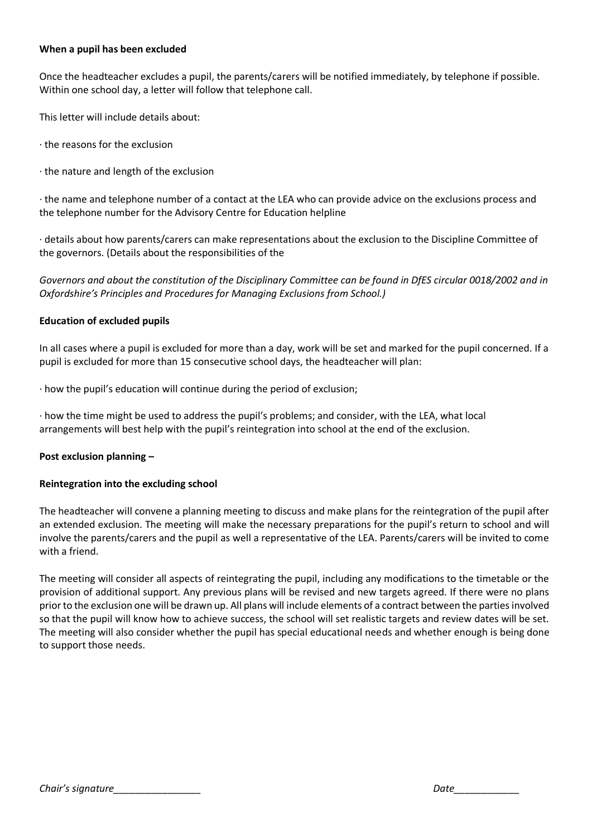#### **When a pupil has been excluded**

Once the headteacher excludes a pupil, the parents/carers will be notified immediately, by telephone if possible. Within one school day, a letter will follow that telephone call.

This letter will include details about:

- · the reasons for the exclusion
- · the nature and length of the exclusion

· the name and telephone number of a contact at the LEA who can provide advice on the exclusions process and the telephone number for the Advisory Centre for Education helpline

· details about how parents/carers can make representations about the exclusion to the Discipline Committee of the governors. (Details about the responsibilities of the

Governors and about the constitution of the Disciplinary Committee can be found in DfES circular 0018/2002 and in *Oxfordshire's Principles and Procedures for Managing Exclusions from School.)*

# **Education of excluded pupils**

In all cases where a pupil is excluded for more than a day, work will be set and marked for the pupil concerned. If a pupil is excluded for more than 15 consecutive school days, the headteacher will plan:

· how the pupil's education will continue during the period of exclusion;

· how the time might be used to address the pupil's problems; and consider, with the LEA, what local arrangements will best help with the pupil's reintegration into school at the end of the exclusion.

# **Post exclusion planning –**

#### **Reintegration into the excluding school**

The headteacher will convene a planning meeting to discuss and make plans for the reintegration of the pupil after an extended exclusion. The meeting will make the necessary preparations for the pupil's return to school and will involve the parents/carers and the pupil as well a representative of the LEA. Parents/carers will be invited to come with a friend.

The meeting will consider all aspects of reintegrating the pupil, including any modifications to the timetable or the provision of additional support. Any previous plans will be revised and new targets agreed. If there were no plans prior to the exclusion one will be drawn up. All plans will include elements of a contract between the parties involved so that the pupil will know how to achieve success, the school will set realistic targets and review dates will be set. The meeting will also consider whether the pupil has special educational needs and whether enough is being done to support those needs.